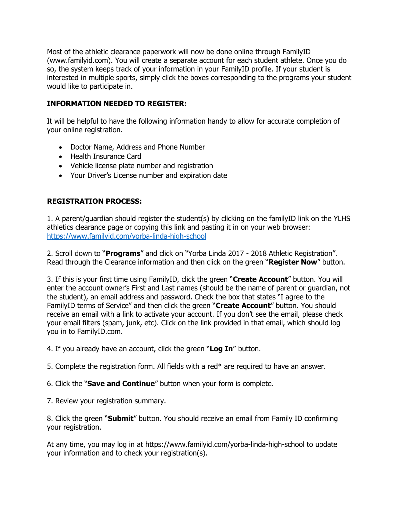Most of the athletic clearance paperwork will now be done online through FamilyID (www.familyid.com). You will create a separate account for each student athlete. Once you do so, the system keeps track of your information in your FamilyID profile. If your student is interested in multiple sports, simply click the boxes corresponding to the programs your student would like to participate in.

## **INFORMATION NEEDED TO REGISTER:**

It will be helpful to have the following information handy to allow for accurate completion of your online registration.

- Doctor Name, Address and Phone Number
- Health Insurance Card
- Vehicle license plate number and registration
- Your Driver's License number and expiration date

## **REGISTRATION PROCESS:**

1. A parent/guardian should register the student(s) by clicking on the familyID link on the YLHS athletics clearance page or copying this link and pasting it in on your web browser: <https://www.familyid.com/yorba-linda-high-school>

2. Scroll down to "**Programs**" and click on "Yorba Linda 2017 - 2018 Athletic Registration". Read through the Clearance information and then click on the green "**Register Now**" button.

3. If this is your first time using FamilyID, click the green "**Create Account**" button. You will enter the account owner's First and Last names (should be the name of parent or guardian, not the student), an email address and password. Check the box that states "I agree to the FamilyID terms of Service" and then click the green "**Create Account**" button. You should receive an email with a link to activate your account. If you don't see the email, please check your email filters (spam, junk, etc). Click on the link provided in that email, which should log you in to FamilyID.com.

4. If you already have an account, click the green "**Log In**" button.

5. Complete the registration form. All fields with a red\* are required to have an answer.

6. Click the "**Save and Continue**" button when your form is complete.

7. Review your registration summary.

8. Click the green "**Submit**" button. You should receive an email from Family ID confirming your registration.

At any time, you may log in at https://www.familyid.com/yorba-linda-high-school to update your information and to check your registration(s).